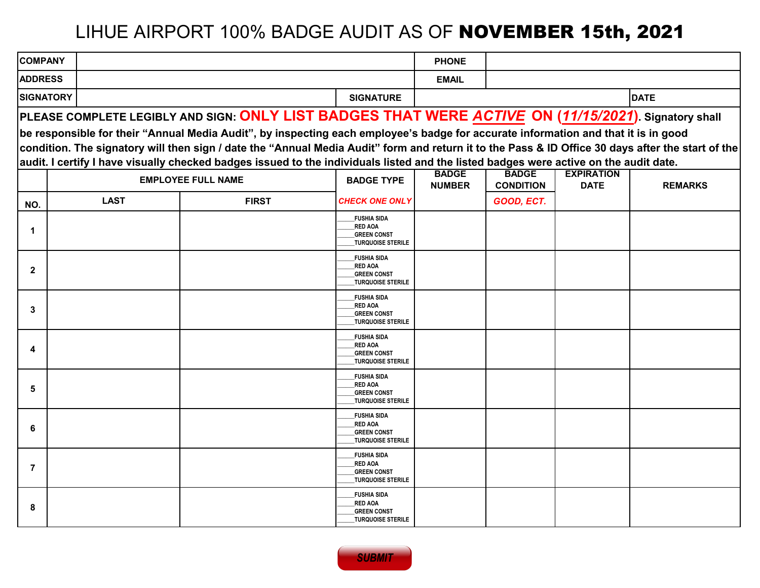# LIHUE AIRPORT 100% BADGE AUDIT AS OF NOVEMBER 15th, 2021

| <b>COMPANY</b>   |             |                                                                                                                                                   |                                                                  | <b>PHONE</b>  |                  |                   |                |
|------------------|-------------|---------------------------------------------------------------------------------------------------------------------------------------------------|------------------------------------------------------------------|---------------|------------------|-------------------|----------------|
| <b>ADDRESS</b>   |             |                                                                                                                                                   |                                                                  | <b>EMAIL</b>  |                  |                   |                |
| <b>SIGNATORY</b> |             |                                                                                                                                                   | <b>SIGNATURE</b>                                                 |               |                  |                   | <b>DATE</b>    |
|                  |             | PLEASE COMPLETE LEGIBLY AND SIGN: ONLY LIST BADGES THAT WERE ACTIVE ON (11/15/2021). Signatory shall                                              |                                                                  |               |                  |                   |                |
|                  |             | be responsible for their "Annual Media Audit", by inspecting each employee's badge for accurate information and that it is in good                |                                                                  |               |                  |                   |                |
|                  |             | condition. The signatory will then sign / date the "Annual Media Audit" form and return it to the Pass & ID Office 30 days after the start of the |                                                                  |               |                  |                   |                |
|                  |             | audit. I certify I have visually checked badges issued to the individuals listed and the listed badges were active on the audit date.             |                                                                  | <b>BADGE</b>  | <b>BADGE</b>     | <b>EXPIRATION</b> |                |
|                  |             | <b>EMPLOYEE FULL NAME</b>                                                                                                                         | <b>BADGE TYPE</b>                                                | <b>NUMBER</b> | <b>CONDITION</b> | <b>DATE</b>       | <b>REMARKS</b> |
| NO.              | <b>LAST</b> | <b>FIRST</b>                                                                                                                                      | <b>CHECK ONE ONLY</b>                                            |               | GOOD, ECT.       |                   |                |
|                  |             |                                                                                                                                                   | <b>FUSHIA SIDA</b><br><b>RED AOA</b>                             |               |                  |                   |                |
| $\mathbf 1$      |             |                                                                                                                                                   | <b>GREEN CONST</b><br><b>TURQUOISE STERILE</b>                   |               |                  |                   |                |
|                  |             |                                                                                                                                                   | <b>FUSHIA SIDA</b><br><b>RED AOA</b>                             |               |                  |                   |                |
| $\mathbf{2}$     |             |                                                                                                                                                   | <b>GREEN CONST</b><br><b>TURQUOISE STERILE</b>                   |               |                  |                   |                |
|                  |             |                                                                                                                                                   | <b>FUSHIA SIDA</b>                                               |               |                  |                   |                |
| 3                |             |                                                                                                                                                   | <b>RED AOA</b><br><b>GREEN CONST</b>                             |               |                  |                   |                |
|                  |             |                                                                                                                                                   | <b>TURQUOISE STERILE</b><br><b>FUSHIA SIDA</b>                   |               |                  |                   |                |
| 4                |             |                                                                                                                                                   | <b>RED AOA</b><br><b>GREEN CONST</b>                             |               |                  |                   |                |
|                  |             |                                                                                                                                                   | <b>TURQUOISE STERILE</b>                                         |               |                  |                   |                |
| 5                |             |                                                                                                                                                   | <b>FUSHIA SIDA</b><br><b>RED AOA</b>                             |               |                  |                   |                |
|                  |             |                                                                                                                                                   | <b>GREEN CONST</b><br><b>TURQUOISE STERILE</b>                   |               |                  |                   |                |
| 6                |             |                                                                                                                                                   | <b>FUSHIA SIDA</b><br><b>RED AOA</b>                             |               |                  |                   |                |
|                  |             |                                                                                                                                                   | <b>GREEN CONST</b><br><b>TURQUOISE STERILE</b>                   |               |                  |                   |                |
|                  |             |                                                                                                                                                   | <b>FUSHIA SIDA</b><br><b>RED AOA</b>                             |               |                  |                   |                |
| $\overline{7}$   |             |                                                                                                                                                   | <b>GREEN CONST</b><br><b>TURQUOISE STERILE</b>                   |               |                  |                   |                |
|                  |             |                                                                                                                                                   | <b>FUSHIA SIDA</b>                                               |               |                  |                   |                |
| 8                |             |                                                                                                                                                   | <b>RED AOA</b><br><b>GREEN CONST</b><br><b>TURQUOISE STERILE</b> |               |                  |                   |                |

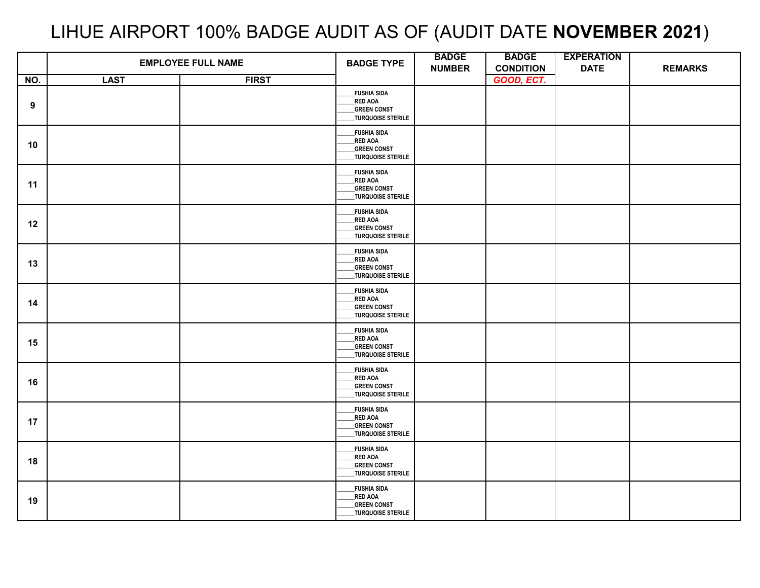## LIHUE AIRPORT 100% BADGE AUDIT AS OF (AUDIT DATE **NOVEMBER 2021**)

|     | <b>EMPLOYEE FULL NAME</b> |              | <b>BADGE TYPE</b>                                                                | <b>BADGE</b><br><b>NUMBER</b> | <b>BADGE</b><br><b>CONDITION</b> | <b>EXPERATION</b><br><b>DATE</b> | <b>REMARKS</b> |
|-----|---------------------------|--------------|----------------------------------------------------------------------------------|-------------------------------|----------------------------------|----------------------------------|----------------|
| NO. | <b>LAST</b>               | <b>FIRST</b> |                                                                                  |                               | GOOD, ECT.                       |                                  |                |
| 9   |                           |              | <b>FUSHIA SIDA</b><br>_RED AOA<br><b>GREEN CONST</b><br><b>TURQUOISE STERILE</b> |                               |                                  |                                  |                |
| 10  |                           |              | _FUSHIA SIDA<br>RED AOA<br><b>GREEN CONST</b><br>_TURQUOISE STERILE              |                               |                                  |                                  |                |
| 11  |                           |              | <b>FUSHIA SIDA</b><br>RED AOA<br><b>GREEN CONST</b><br>_<br>_TURQUOISE STERILE   |                               |                                  |                                  |                |
| 12  |                           |              | <b>FUSHIA SIDA</b><br>RED AOA<br><b>GREEN CONST</b><br>TURQUOISE STERILE         |                               |                                  |                                  |                |
| 13  |                           |              | <b>FUSHIA SIDA</b><br>RED AOA<br><b>GREEN CONST</b><br>_TURQUOISE STERILE        |                               |                                  |                                  |                |
| 14  |                           |              | <b>FUSHIA SIDA</b><br>RED AOA<br><b>GREEN CONST</b><br>TURQUOISE STERILE         |                               |                                  |                                  |                |
| 15  |                           |              | <b>FUSHIA SIDA</b><br>RED AOA<br><b>GREEN CONST</b><br>_TURQUOISE STERILE        |                               |                                  |                                  |                |
| 16  |                           |              | _FUSHIA SIDA<br>RED AOA<br><b>GREEN CONST</b><br>_TURQUOISE STERILE              |                               |                                  |                                  |                |
| 17  |                           |              | FUSHIA SIDA<br><b>RED AOA</b><br><b>GREEN CONST</b><br>TURQUOISE STERILE         |                               |                                  |                                  |                |
| 18  |                           |              | <b>FUSHIA SIDA</b><br>RED AOA<br><b>GREEN CONST</b><br>TURQUOISE STERILE         |                               |                                  |                                  |                |
| 19  |                           |              | <b>FUSHIA SIDA</b><br>RED AOA<br><b>GREEN CONST</b><br>_TURQUOISE STERILE        |                               |                                  |                                  |                |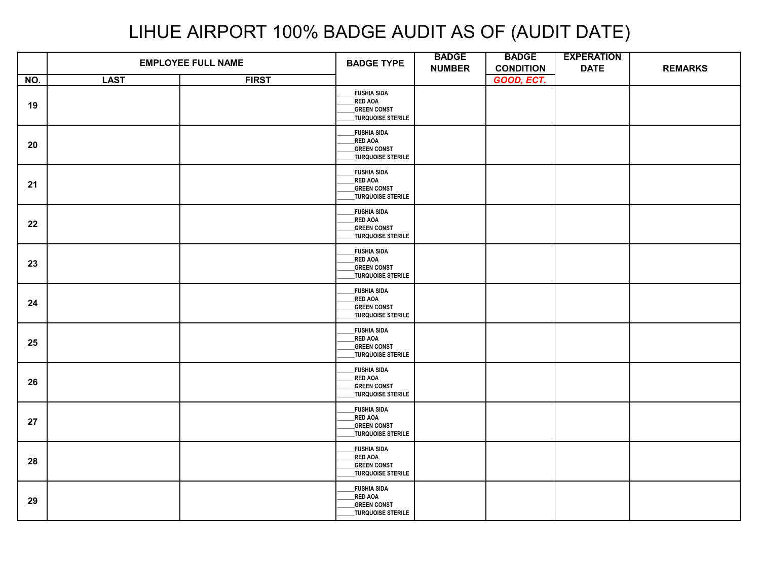|     |             | <b>EMPLOYEE FULL NAME</b> | <b>BADGE TYPE</b>                                                                      | <b>BADGE</b><br><b>NUMBER</b> | <b>BADGE</b><br><b>CONDITION</b> | <b>EXPERATION</b><br><b>DATE</b> | <b>REMARKS</b> |
|-----|-------------|---------------------------|----------------------------------------------------------------------------------------|-------------------------------|----------------------------------|----------------------------------|----------------|
| NO. | <b>LAST</b> | <b>FIRST</b>              |                                                                                        |                               | GOOD, ECT.                       |                                  |                |
| 19  |             |                           | <b>FUSHIA SIDA</b><br><b>RED AOA</b><br><b>GREEN CONST</b><br><b>TURQUOISE STERILE</b> |                               |                                  |                                  |                |
| 20  |             |                           | <b>FUSHIA SIDA</b><br>_RED AOA<br><b>GREEN CONST</b><br>TURQUOISE STERILE              |                               |                                  |                                  |                |
| 21  |             |                           | <b>FUSHIA SIDA</b><br>RED AOA<br><b>GREEN CONST</b><br>_<br>_TURQUOISE STERILE         |                               |                                  |                                  |                |
| 22  |             |                           | <b>FUSHIA SIDA</b><br>RED AOA<br><b>GREEN CONST</b><br>TURQUOISE STERILE               |                               |                                  |                                  |                |
| 23  |             |                           | <b>FUSHIA SIDA</b><br><b>RED AOA</b><br><b>GREEN CONST</b><br>TURQUOISE STERILE        |                               |                                  |                                  |                |
| 24  |             |                           | <b>FUSHIA SIDA</b><br><b>RED AOA</b><br><b>GREEN CONST</b><br>_TURQUOISE STERILE       |                               |                                  |                                  |                |
| 25  |             |                           | <b>FUSHIA SIDA</b><br><b>RED AOA</b><br><b>GREEN CONST</b><br>TURQUOISE STERILE        |                               |                                  |                                  |                |
| 26  |             |                           | <b>FUSHIA SIDA</b><br>_RED AOA<br><b>GREEN CONST</b><br>TURQUOISE STERILE              |                               |                                  |                                  |                |
| 27  |             |                           | <b>FUSHIA SIDA</b><br><b>RED AOA</b><br><b>GREEN CONST</b><br>TURQUOISE STERILE        |                               |                                  |                                  |                |
| 28  |             |                           | <b>FUSHIA SIDA</b><br>RED AOA<br><b>GREEN CONST</b><br>TURQUOISE STERILE               |                               |                                  |                                  |                |
| 29  |             |                           | <b>FUSHIA SIDA</b><br><b>RED AOA</b><br><b>GREEN CONST</b><br>TURQUOISE STERILE        |                               |                                  |                                  |                |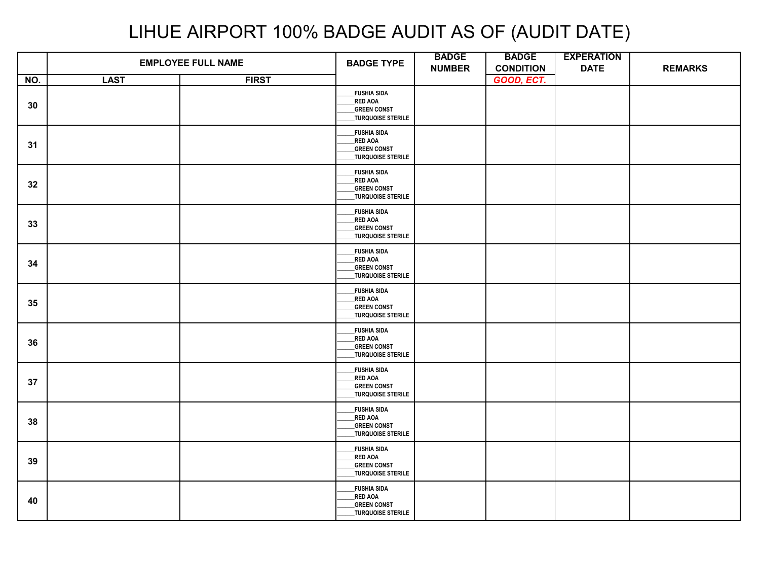|     |             | <b>EMPLOYEE FULL NAME</b> | <b>BADGE TYPE</b>                                                                      | <b>BADGE</b><br><b>NUMBER</b> | <b>BADGE</b><br><b>CONDITION</b> | <b>EXPERATION</b><br><b>DATE</b> | <b>REMARKS</b> |
|-----|-------------|---------------------------|----------------------------------------------------------------------------------------|-------------------------------|----------------------------------|----------------------------------|----------------|
| NO. | <b>LAST</b> | <b>FIRST</b>              |                                                                                        |                               | GOOD, ECT.                       |                                  |                |
| 30  |             |                           | <b>FUSHIA SIDA</b><br><b>RED AOA</b><br><b>GREEN CONST</b><br><b>TURQUOISE STERILE</b> |                               |                                  |                                  |                |
| 31  |             |                           | <b>FUSHIA SIDA</b><br>_RED AOA<br><b>GREEN CONST</b><br>TURQUOISE STERILE              |                               |                                  |                                  |                |
| 32  |             |                           | <b>FUSHIA SIDA</b><br>RED AOA<br><b>GREEN CONST</b><br>_<br>_TURQUOISE STERILE         |                               |                                  |                                  |                |
| 33  |             |                           | <b>FUSHIA SIDA</b><br>RED AOA<br><b>GREEN CONST</b><br>TURQUOISE STERILE               |                               |                                  |                                  |                |
| 34  |             |                           | <b>FUSHIA SIDA</b><br><b>RED AOA</b><br><b>GREEN CONST</b><br>TURQUOISE STERILE        |                               |                                  |                                  |                |
| 35  |             |                           | <b>FUSHIA SIDA</b><br><b>RED AOA</b><br><b>GREEN CONST</b><br>_TURQUOISE STERILE       |                               |                                  |                                  |                |
| 36  |             |                           | <b>FUSHIA SIDA</b><br><b>RED AOA</b><br><b>GREEN CONST</b><br>TURQUOISE STERILE        |                               |                                  |                                  |                |
| 37  |             |                           | <b>FUSHIA SIDA</b><br>_RED AOA<br><b>GREEN CONST</b><br>TURQUOISE STERILE              |                               |                                  |                                  |                |
| 38  |             |                           | <b>FUSHIA SIDA</b><br><b>RED AOA</b><br><b>GREEN CONST</b><br>TURQUOISE STERILE        |                               |                                  |                                  |                |
| 39  |             |                           | <b>FUSHIA SIDA</b><br>RED AOA<br><b>GREEN CONST</b><br>TURQUOISE STERILE               |                               |                                  |                                  |                |
| 40  |             |                           | <b>FUSHIA SIDA</b><br><b>RED AOA</b><br><b>GREEN CONST</b><br>TURQUOISE STERILE        |                               |                                  |                                  |                |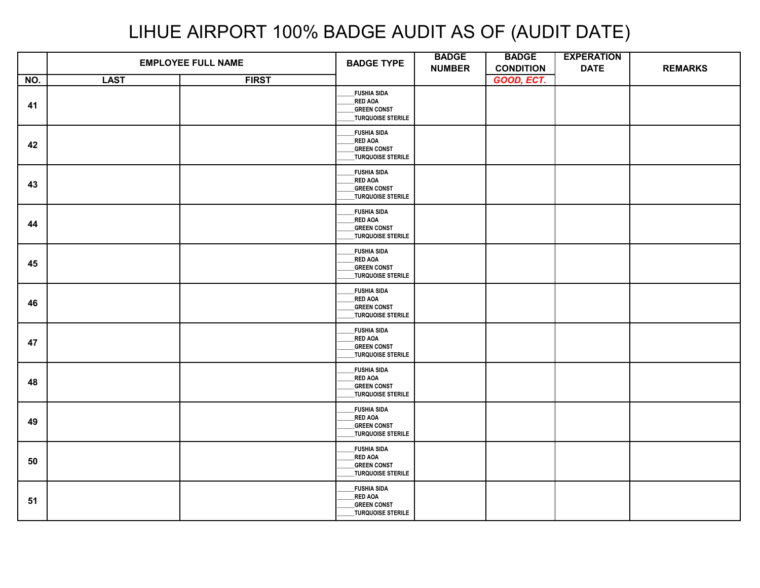|     | <b>EMPLOYEE FULL NAME</b> |              | <b>BADGE TYPE</b>                                                                      | <b>BADGE</b><br><b>NUMBER</b> | <b>BADGE</b><br><b>CONDITION</b> | <b>EXPERATION</b><br><b>DATE</b> | <b>REMARKS</b> |
|-----|---------------------------|--------------|----------------------------------------------------------------------------------------|-------------------------------|----------------------------------|----------------------------------|----------------|
| NO. | <b>LAST</b>               | <b>FIRST</b> |                                                                                        |                               | GOOD, ECT.                       |                                  |                |
| 41  |                           |              | <b>FUSHIA SIDA</b><br><b>RED AOA</b><br><b>GREEN CONST</b><br>TURQUOISE STERILE        |                               |                                  |                                  |                |
| 42  |                           |              | <b>FUSHIA SIDA</b><br>_RED AOA<br><b>GREEN CONST</b><br>TURQUOISE STERILE              |                               |                                  |                                  |                |
| 43  |                           |              | <b>FUSHIA SIDA</b><br>RED AOA<br><b>GREEN CONST</b><br>TURQUOISE STERILE               |                               |                                  |                                  |                |
| 44  |                           |              | <b>FUSHIA SIDA</b><br>RED AOA<br><b>GREEN CONST</b><br>TURQUOISE STERILE               |                               |                                  |                                  |                |
| 45  |                           |              | <b>FUSHIA SIDA</b><br><b>RED AOA</b><br><b>GREEN CONST</b><br>TURQUOISE STERILE        |                               |                                  |                                  |                |
| 46  |                           |              | <b>FUSHIA SIDA</b><br><b>RED AOA</b><br><b>GREEN CONST</b><br>TURQUOISE STERILE        |                               |                                  |                                  |                |
| 47  |                           |              | <b>FUSHIA SIDA</b><br>RED AOA<br><b>GREEN CONST</b><br>TURQUOISE STERILE               |                               |                                  |                                  |                |
| 48  |                           |              | <b>FUSHIA SIDA</b><br><b>RED AOA</b><br><b>GREEN CONST</b><br>TURQUOISE STERILE        |                               |                                  |                                  |                |
| 49  |                           |              | <b>FUSHIA SIDA</b><br><b>RED AOA</b><br><b>GREEN CONST</b><br><b>TURQUOISE STERILE</b> |                               |                                  |                                  |                |
| 50  |                           |              | <b>FUSHIA SIDA</b><br><b>RED AOA</b><br><b>GREEN CONST</b><br>TURQUOISE STERILE        |                               |                                  |                                  |                |
| 51  |                           |              | <b>FUSHIA SIDA</b><br>RED AOA<br><b>GREEN CONST</b><br>_TURQUOISE STERILE              |                               |                                  |                                  |                |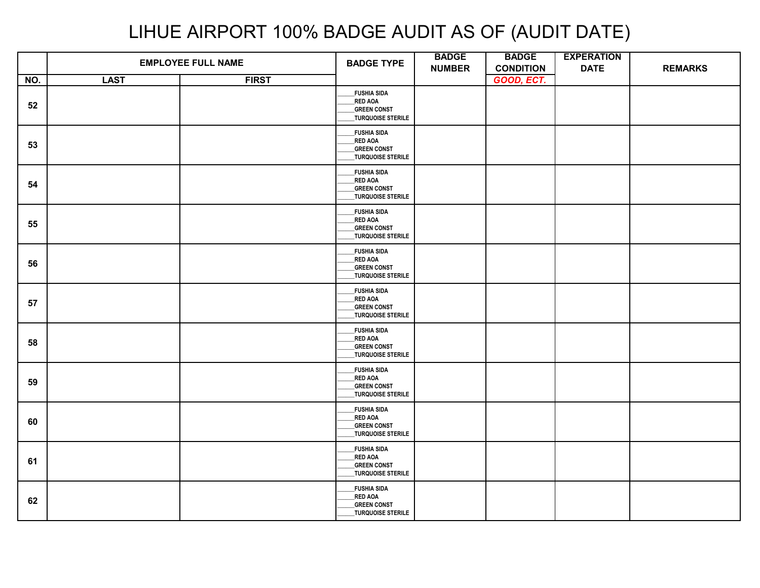|     |             | <b>EMPLOYEE FULL NAME</b> | <b>BADGE TYPE</b>                                                                      | <b>BADGE</b><br><b>NUMBER</b> | <b>BADGE</b><br><b>CONDITION</b> | <b>EXPERATION</b><br><b>DATE</b> | <b>REMARKS</b> |
|-----|-------------|---------------------------|----------------------------------------------------------------------------------------|-------------------------------|----------------------------------|----------------------------------|----------------|
| NO. | <b>LAST</b> | <b>FIRST</b>              |                                                                                        |                               | GOOD, ECT.                       |                                  |                |
| 52  |             |                           | <b>FUSHIA SIDA</b><br><b>RED AOA</b><br><b>GREEN CONST</b><br>TURQUOISE STERILE        |                               |                                  |                                  |                |
| 53  |             |                           | <b>FUSHIA SIDA</b><br>_RED AOA<br><b>GREEN CONST</b><br>TURQUOISE STERILE              |                               |                                  |                                  |                |
| 54  |             |                           | <b>FUSHIA SIDA</b><br>RED AOA<br><b>GREEN CONST</b><br>TURQUOISE STERILE               |                               |                                  |                                  |                |
| 55  |             |                           | <b>FUSHIA SIDA</b><br>RED AOA<br><b>GREEN CONST</b><br>TURQUOISE STERILE               |                               |                                  |                                  |                |
| 56  |             |                           | <b>FUSHIA SIDA</b><br><b>RED AOA</b><br><b>GREEN CONST</b><br>TURQUOISE STERILE        |                               |                                  |                                  |                |
| 57  |             |                           | <b>FUSHIA SIDA</b><br><b>RED AOA</b><br><b>GREEN CONST</b><br>TURQUOISE STERILE        |                               |                                  |                                  |                |
| 58  |             |                           | <b>FUSHIA SIDA</b><br>RED AOA<br><b>GREEN CONST</b><br>TURQUOISE STERILE               |                               |                                  |                                  |                |
| 59  |             |                           | <b>FUSHIA SIDA</b><br><b>RED AOA</b><br><b>GREEN CONST</b><br>TURQUOISE STERILE        |                               |                                  |                                  |                |
| 60  |             |                           | <b>FUSHIA SIDA</b><br><b>RED AOA</b><br><b>GREEN CONST</b><br><b>TURQUOISE STERILE</b> |                               |                                  |                                  |                |
| 61  |             |                           | <b>FUSHIA SIDA</b><br><b>RED AOA</b><br><b>GREEN CONST</b><br>TURQUOISE STERILE        |                               |                                  |                                  |                |
| 62  |             |                           | <b>FUSHIA SIDA</b><br>RED AOA<br><b>GREEN CONST</b><br>_TURQUOISE STERILE              |                               |                                  |                                  |                |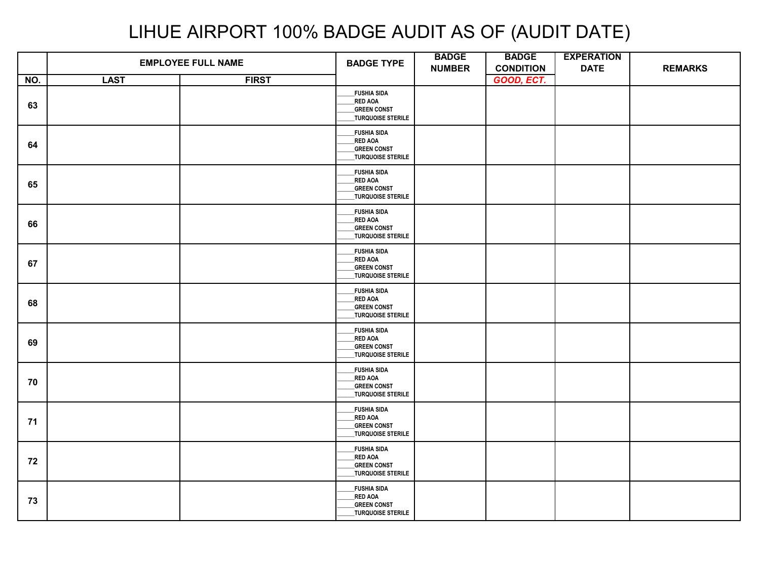|     | <b>EMPLOYEE FULL NAME</b> |              | <b>BADGE TYPE</b>                                                                      | <b>BADGE</b><br><b>NUMBER</b> | <b>BADGE</b><br><b>CONDITION</b> | <b>EXPERATION</b><br><b>DATE</b> | <b>REMARKS</b> |
|-----|---------------------------|--------------|----------------------------------------------------------------------------------------|-------------------------------|----------------------------------|----------------------------------|----------------|
| NO. | <b>LAST</b>               | <b>FIRST</b> |                                                                                        |                               | GOOD, ECT.                       |                                  |                |
| 63  |                           |              | <b>FUSHIA SIDA</b><br>RED AOA<br><b>GREEN CONST</b><br>TURQUOISE STERILE               |                               |                                  |                                  |                |
| 64  |                           |              | <b>FUSHIA SIDA</b><br>RED AOA<br><b>GREEN CONST</b><br><b>TURQUOISE STERILE</b>        |                               |                                  |                                  |                |
| 65  |                           |              | <b>FUSHIA SIDA</b><br><b>RED AOA</b><br><b>GREEN CONST</b><br>TURQUOISE STERILE        |                               |                                  |                                  |                |
| 66  |                           |              | <b>FUSHIA SIDA</b><br><b>RED AOA</b><br><b>GREEN CONST</b><br>TURQUOISE STERILE        |                               |                                  |                                  |                |
| 67  |                           |              | <b>FUSHIA SIDA</b><br><b>RED AOA</b><br><b>GREEN CONST</b><br>TURQUOISE STERILE        |                               |                                  |                                  |                |
| 68  |                           |              | <b>FUSHIA SIDA</b><br><b>RED AOA</b><br><b>GREEN CONST</b><br>TURQUOISE STERILE        |                               |                                  |                                  |                |
| 69  |                           |              | <b>FUSHIA SIDA</b><br><b>RED AOA</b><br><b>GREEN CONST</b><br>_TURQUOISE STERILE       |                               |                                  |                                  |                |
| 70  |                           |              | _FUSHIA SIDA<br><b>RED AOA</b><br><b>GREEN CONST</b><br>TURQUOISE STERILE              |                               |                                  |                                  |                |
| 71  |                           |              | <b>FUSHIA SIDA</b><br><b>RED AOA</b><br><b>GREEN CONST</b><br><b>TURQUOISE STERILE</b> |                               |                                  |                                  |                |
| 72  |                           |              | <b>FUSHIA SIDA</b><br><b>RED AOA</b><br><b>GREEN CONST</b><br>TURQUOISE STERILE        |                               |                                  |                                  |                |
| 73  |                           |              | <b>FUSHIA SIDA</b><br>RED AOA<br><b>GREEN CONST</b><br>_TURQUOISE STERILE              |                               |                                  |                                  |                |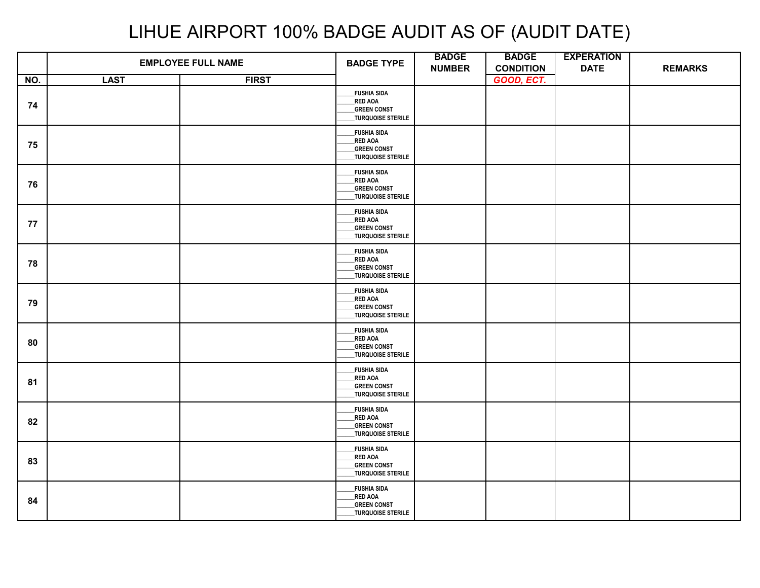|     | <b>EMPLOYEE FULL NAME</b> |              | <b>BADGE TYPE</b>                                                               | <b>BADGE</b><br><b>NUMBER</b> | <b>BADGE</b><br><b>CONDITION</b> | <b>EXPERATION</b><br><b>DATE</b> | <b>REMARKS</b> |
|-----|---------------------------|--------------|---------------------------------------------------------------------------------|-------------------------------|----------------------------------|----------------------------------|----------------|
| NO. | <b>LAST</b>               | <b>FIRST</b> |                                                                                 |                               | GOOD, ECT.                       |                                  |                |
| 74  |                           |              | <b>FUSHIA SIDA</b><br>RED AOA<br><b>GREEN CONST</b><br><b>TURQUOISE STERILE</b> |                               |                                  |                                  |                |
| 75  |                           |              | <b>FUSHIA SIDA</b><br>RED AOA<br><b>GREEN CONST</b><br>TURQUOISE STERILE        |                               |                                  |                                  |                |
| 76  |                           |              | <b>FUSHIA SIDA</b><br>RED AOA<br><b>GREEN CONST</b><br>_<br>_TURQUOISE STERILE  |                               |                                  |                                  |                |
| 77  |                           |              | <b>FUSHIA SIDA</b><br><b>RED AOA</b><br>_<br>_GREEN CONST<br>TURQUOISE STERILE  |                               |                                  |                                  |                |
| 78  |                           |              | <b>FUSHIA SIDA</b><br><b>RED AOA</b><br><b>GREEN CONST</b><br>TURQUOISE STERILE |                               |                                  |                                  |                |
| 79  |                           |              | <b>FUSHIA SIDA</b><br>RED AOA<br><b>GREEN CONST</b><br>TURQUOISE STERILE        |                               |                                  |                                  |                |
| 80  |                           |              | <b>FUSHIA SIDA</b><br>RED AOA<br><b>GREEN CONST</b><br>TURQUOISE STERILE        |                               |                                  |                                  |                |
| 81  |                           |              | <b>FUSHIA SIDA</b><br>RED AOA<br><b>GREEN CONST</b><br>TURQUOISE STERILE        |                               |                                  |                                  |                |
| 82  |                           |              | <b>FUSHIA SIDA</b><br><b>RED AOA</b><br><b>GREEN CONST</b><br>TURQUOISE STERILE |                               |                                  |                                  |                |
| 83  |                           |              | <b>FUSHIA SIDA</b><br>RED AOA<br><b>GREEN CONST</b><br>TURQUOISE STERILE        |                               |                                  |                                  |                |
| 84  |                           |              | <b>FUSHIA SIDA</b><br>RED AOA<br><b>GREEN CONST</b><br>_TURQUOISE STERILE       |                               |                                  |                                  |                |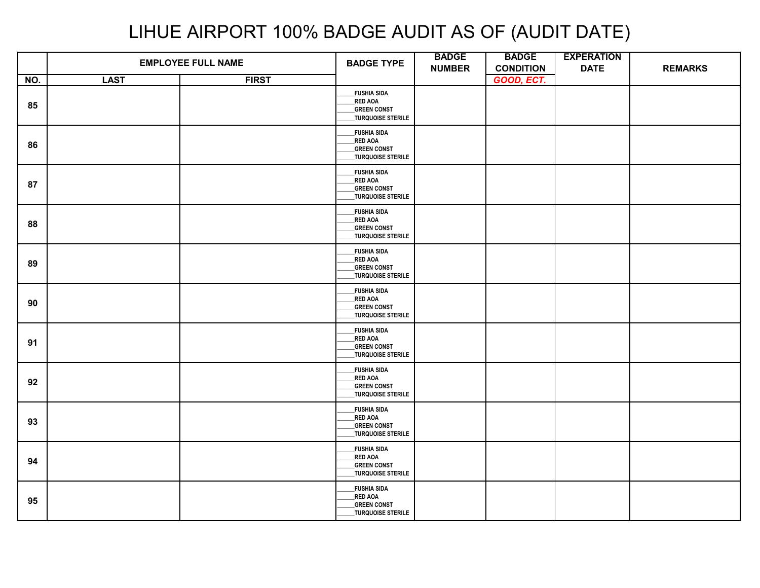|     |             | <b>EMPLOYEE FULL NAME</b> | <b>BADGE TYPE</b>                                                               | <b>BADGE</b><br><b>NUMBER</b> | <b>BADGE</b><br><b>CONDITION</b> | <b>EXPERATION</b><br><b>DATE</b> | <b>REMARKS</b> |
|-----|-------------|---------------------------|---------------------------------------------------------------------------------|-------------------------------|----------------------------------|----------------------------------|----------------|
| NO. | <b>LAST</b> | <b>FIRST</b>              |                                                                                 |                               | GOOD, ECT.                       |                                  |                |
| 85  |             |                           | <b>FUSHIA SIDA</b><br>RED AOA<br><b>GREEN CONST</b><br><b>TURQUOISE STERILE</b> |                               |                                  |                                  |                |
| 86  |             |                           | <b>FUSHIA SIDA</b><br>RED AOA<br><b>GREEN CONST</b><br>TURQUOISE STERILE        |                               |                                  |                                  |                |
| 87  |             |                           | <b>FUSHIA SIDA</b><br>RED AOA<br><b>GREEN CONST</b><br>_<br>_TURQUOISE STERILE  |                               |                                  |                                  |                |
| 88  |             |                           | <b>FUSHIA SIDA</b><br>RED AOA<br><b>GREEN CONST</b><br>TURQUOISE STERILE        |                               |                                  |                                  |                |
| 89  |             |                           | <b>FUSHIA SIDA</b><br><b>RED AOA</b><br><b>GREEN CONST</b><br>TURQUOISE STERILE |                               |                                  |                                  |                |
| 90  |             |                           | <b>FUSHIA SIDA</b><br>RED AOA<br><b>GREEN CONST</b><br>TURQUOISE STERILE        |                               |                                  |                                  |                |
| 91  |             |                           | <b>FUSHIA SIDA</b><br>RED AOA<br><b>GREEN CONST</b><br>TURQUOISE STERILE        |                               |                                  |                                  |                |
| 92  |             |                           | <b>FUSHIA SIDA</b><br>RED AOA<br><b>GREEN CONST</b><br>TURQUOISE STERILE        |                               |                                  |                                  |                |
| 93  |             |                           | <b>FUSHIA SIDA</b><br><b>RED AOA</b><br><b>GREEN CONST</b><br>TURQUOISE STERILE |                               |                                  |                                  |                |
| 94  |             |                           | <b>FUSHIA SIDA</b><br>RED AOA<br><b>GREEN CONST</b><br>TURQUOISE STERILE        |                               |                                  |                                  |                |
| 95  |             |                           | <b>FUSHIA SIDA</b><br>RED AOA<br><b>GREEN CONST</b><br>_TURQUOISE STERILE       |                               |                                  |                                  |                |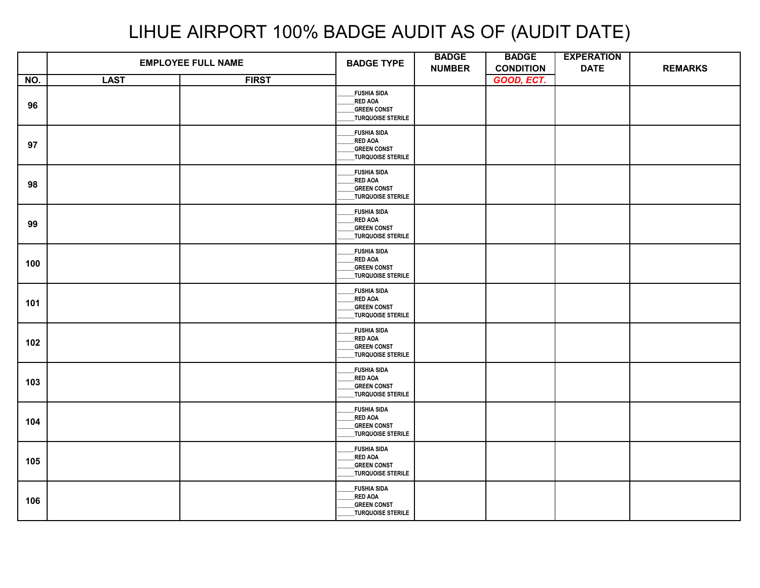|     | <b>EMPLOYEE FULL NAME</b> |              | <b>BADGE TYPE</b>                                                                      | <b>BADGE</b><br><b>NUMBER</b> | <b>BADGE</b><br><b>CONDITION</b> | <b>EXPERATION</b><br><b>DATE</b> | <b>REMARKS</b> |
|-----|---------------------------|--------------|----------------------------------------------------------------------------------------|-------------------------------|----------------------------------|----------------------------------|----------------|
| NO. | <b>LAST</b>               | <b>FIRST</b> |                                                                                        |                               | GOOD, ECT.                       |                                  |                |
| 96  |                           |              | <b>FUSHIA SIDA</b><br>RED AOA<br><b>GREEN CONST</b><br>TURQUOISE STERILE               |                               |                                  |                                  |                |
| 97  |                           |              | <b>FUSHIA SIDA</b><br>RED AOA<br><b>GREEN CONST</b><br>_TURQUOISE STERILE              |                               |                                  |                                  |                |
| 98  |                           |              | <b>FUSHIA SIDA</b><br><b>RED AOA</b><br><b>GREEN CONST</b><br>_TURQUOISE STERILE       |                               |                                  |                                  |                |
| 99  |                           |              | <b>FUSHIA SIDA</b><br><b>RED AOA</b><br><b>GREEN CONST</b><br><b>TURQUOISE STERILE</b> |                               |                                  |                                  |                |
| 100 |                           |              | <b>FUSHIA SIDA</b><br>RED AOA<br><b>GREEN CONST</b><br><b>TURQUOISE STERILE</b>        |                               |                                  |                                  |                |
| 101 |                           |              | <b>FUSHIA SIDA</b><br><b>RED AOA</b><br><b>GREEN CONST</b><br>_TURQUOISE STERILE       |                               |                                  |                                  |                |
| 102 |                           |              | <b>FUSHIA SIDA</b><br><b>RED AOA</b><br><b>GREEN CONST</b><br>TURQUOISE STERILE        |                               |                                  |                                  |                |
| 103 |                           |              | <b>FUSHIA SIDA</b><br>RED AOA<br><b>GREEN CONST</b><br>TURQUOISE STERILE               |                               |                                  |                                  |                |
| 104 |                           |              | <b>FUSHIA SIDA</b><br><b>RED AOA</b><br><b>GREEN CONST</b><br><b>TURQUOISE STERILE</b> |                               |                                  |                                  |                |
| 105 |                           |              | <b>FUSHIA SIDA</b><br><b>RED AOA</b><br><b>GREEN CONST</b><br>TURQUOISE STERILE        |                               |                                  |                                  |                |
| 106 |                           |              | <b>FUSHIA SIDA</b><br>RED AOA<br><b>GREEN CONST</b><br>_TURQUOISE STERILE              |                               |                                  |                                  |                |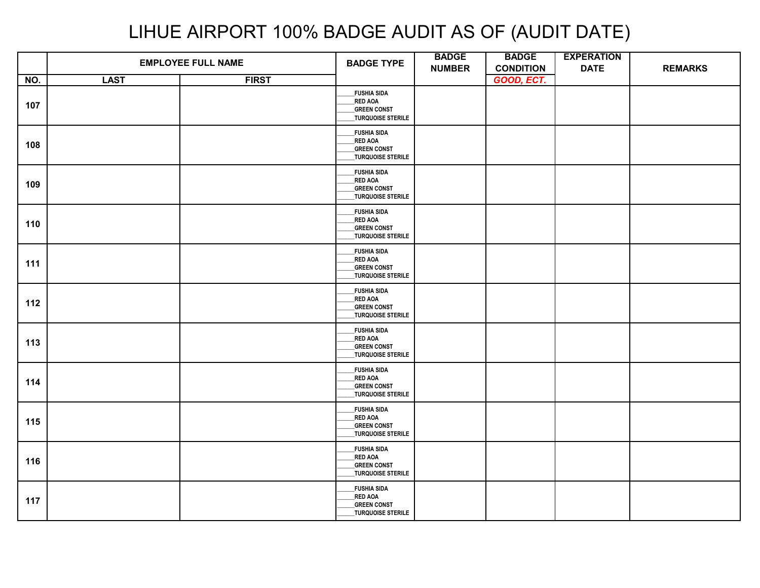|     |             | <b>EMPLOYEE FULL NAME</b> | <b>BADGE TYPE</b>                                                                      | <b>BADGE</b><br><b>NUMBER</b> | <b>BADGE</b><br><b>CONDITION</b> | <b>EXPERATION</b><br><b>DATE</b> | <b>REMARKS</b> |
|-----|-------------|---------------------------|----------------------------------------------------------------------------------------|-------------------------------|----------------------------------|----------------------------------|----------------|
| NO. | <b>LAST</b> | <b>FIRST</b>              |                                                                                        |                               | GOOD, ECT.                       |                                  |                |
| 107 |             |                           | <b>FUSHIA SIDA</b><br><b>RED AOA</b><br><b>GREEN CONST</b><br>TURQUOISE STERILE        |                               |                                  |                                  |                |
| 108 |             |                           | <b>FUSHIA SIDA</b><br><b>RED AOA</b><br><b>GREEN CONST</b><br>TURQUOISE STERILE        |                               |                                  |                                  |                |
| 109 |             |                           | <b>FUSHIA SIDA</b><br><b>RED AOA</b><br><b>GREEN CONST</b><br>_TURQUOISE STERILE       |                               |                                  |                                  |                |
| 110 |             |                           | <b>FUSHIA SIDA</b><br><b>RED AOA</b><br><b>GREEN CONST</b><br><b>TURQUOISE STERILE</b> |                               |                                  |                                  |                |
| 111 |             |                           | <b>FUSHIA SIDA</b><br>_RED AOA<br><b>GREEN CONST</b><br>TURQUOISE STERILE              |                               |                                  |                                  |                |
| 112 |             |                           | <b>FUSHIA SIDA</b><br><b>RED AOA</b><br><b>GREEN CONST</b><br>_TURQUOISE STERILE       |                               |                                  |                                  |                |
| 113 |             |                           | <b>FUSHIA SIDA</b><br><b>RED AOA</b><br><b>GREEN CONST</b><br>TURQUOISE STERILE        |                               |                                  |                                  |                |
| 114 |             |                           | <b>FUSHIA SIDA</b><br><b>RED AOA</b><br><b>GREEN CONST</b><br>TURQUOISE STERILE        |                               |                                  |                                  |                |
| 115 |             |                           | <b>FUSHIA SIDA</b><br><b>RED AOA</b><br><b>GREEN CONST</b><br><b>TURQUOISE STERILE</b> |                               |                                  |                                  |                |
| 116 |             |                           | <b>FUSHIA SIDA</b><br><b>RED AOA</b><br><b>GREEN CONST</b><br>TURQUOISE STERILE        |                               |                                  |                                  |                |
| 117 |             |                           | <b>FUSHIA SIDA</b><br><b>RED AOA</b><br><b>GREEN CONST</b><br>_TURQUOISE STERILE       |                               |                                  |                                  |                |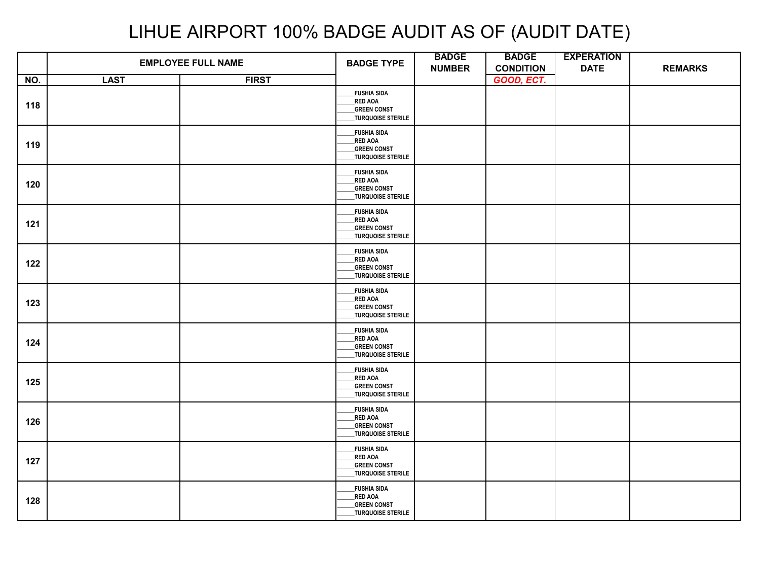|     |             | <b>EMPLOYEE FULL NAME</b> | <b>BADGE TYPE</b>                                                                      | <b>BADGE</b><br><b>NUMBER</b> | <b>BADGE</b><br><b>CONDITION</b> | <b>EXPERATION</b><br><b>DATE</b> | <b>REMARKS</b> |
|-----|-------------|---------------------------|----------------------------------------------------------------------------------------|-------------------------------|----------------------------------|----------------------------------|----------------|
| NO. | <b>LAST</b> | <b>FIRST</b>              |                                                                                        |                               | GOOD, ECT.                       |                                  |                |
| 118 |             |                           | <b>FUSHIA SIDA</b><br><b>RED AOA</b><br><b>GREEN CONST</b><br><b>TURQUOISE STERILE</b> |                               |                                  |                                  |                |
| 119 |             |                           | <b>FUSHIA SIDA</b><br>RED AOA<br><b>GREEN CONST</b><br>TURQUOISE STERILE               |                               |                                  |                                  |                |
| 120 |             |                           | <b>FUSHIA SIDA</b><br><b>RED AOA</b><br><b>GREEN CONST</b><br>_TURQUOISE STERILE       |                               |                                  |                                  |                |
| 121 |             |                           | <b>FUSHIA SIDA</b><br><b>RED AOA</b><br><b>GREEN CONST</b><br>TURQUOISE STERILE        |                               |                                  |                                  |                |
| 122 |             |                           | <b>FUSHIA SIDA</b><br><b>RED AOA</b><br><b>GREEN CONST</b><br>TURQUOISE STERILE        |                               |                                  |                                  |                |
| 123 |             |                           | <b>FUSHIA SIDA</b><br>RED AOA<br><b>GREEN CONST</b><br>TURQUOISE STERILE               |                               |                                  |                                  |                |
| 124 |             |                           | <b>FUSHIA SIDA</b><br><b>RED AOA</b><br><b>GREEN CONST</b><br>TURQUOISE STERILE        |                               |                                  |                                  |                |
| 125 |             |                           | <b>FUSHIA SIDA</b><br><b>RED AOA</b><br><b>GREEN CONST</b><br>TURQUOISE STERILE        |                               |                                  |                                  |                |
| 126 |             |                           | <b>FUSHIA SIDA</b><br><b>RED AOA</b><br><b>GREEN CONST</b><br>TURQUOISE STERILE        |                               |                                  |                                  |                |
| 127 |             |                           | <b>FUSHIA SIDA</b><br><b>RED AOA</b><br><b>GREEN CONST</b><br>TURQUOISE STERILE        |                               |                                  |                                  |                |
| 128 |             |                           | <b>FUSHIA SIDA</b><br><b>RED AOA</b><br><b>GREEN CONST</b><br>_TURQUOISE STERILE       |                               |                                  |                                  |                |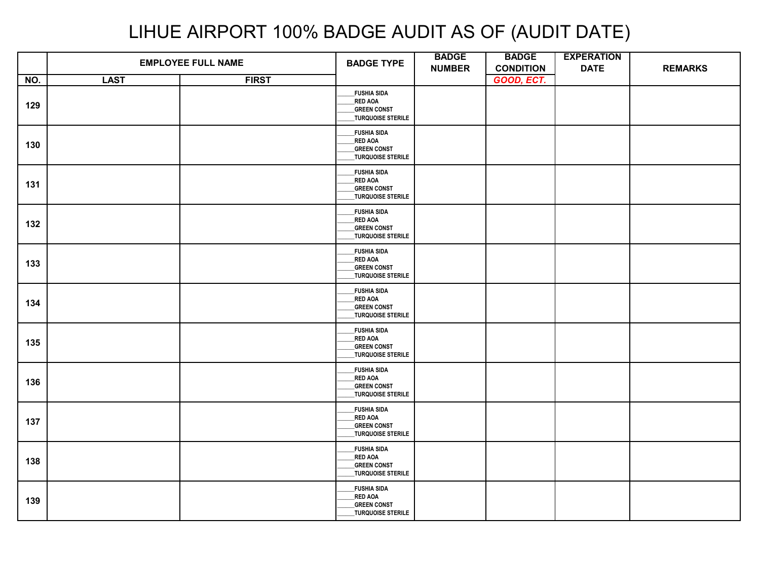|     | <b>EMPLOYEE FULL NAME</b> |              | <b>BADGE TYPE</b>                                                                      | <b>BADGE</b><br><b>NUMBER</b> | <b>BADGE</b><br><b>CONDITION</b> | <b>EXPERATION</b><br><b>DATE</b> | <b>REMARKS</b> |
|-----|---------------------------|--------------|----------------------------------------------------------------------------------------|-------------------------------|----------------------------------|----------------------------------|----------------|
| NO. | <b>LAST</b>               | <b>FIRST</b> |                                                                                        |                               | GOOD, ECT.                       |                                  |                |
| 129 |                           |              | <b>FUSHIA SIDA</b><br><b>RED AOA</b><br><b>GREEN CONST</b><br><b>TURQUOISE STERILE</b> |                               |                                  |                                  |                |
| 130 |                           |              | <b>FUSHIA SIDA</b><br>RED AOA<br><b>GREEN CONST</b><br>TURQUOISE STERILE               |                               |                                  |                                  |                |
| 131 |                           |              | <b>FUSHIA SIDA</b><br><b>RED AOA</b><br><b>GREEN CONST</b><br>_TURQUOISE STERILE       |                               |                                  |                                  |                |
| 132 |                           |              | <b>FUSHIA SIDA</b><br><b>RED AOA</b><br><b>GREEN CONST</b><br>TURQUOISE STERILE        |                               |                                  |                                  |                |
| 133 |                           |              | <b>FUSHIA SIDA</b><br><b>RED AOA</b><br><b>GREEN CONST</b><br>TURQUOISE STERILE        |                               |                                  |                                  |                |
| 134 |                           |              | <b>FUSHIA SIDA</b><br>RED AOA<br><b>GREEN CONST</b><br>TURQUOISE STERILE               |                               |                                  |                                  |                |
| 135 |                           |              | <b>FUSHIA SIDA</b><br><b>RED AOA</b><br><b>GREEN CONST</b><br>TURQUOISE STERILE        |                               |                                  |                                  |                |
| 136 |                           |              | <b>FUSHIA SIDA</b><br><b>RED AOA</b><br><b>GREEN CONST</b><br>TURQUOISE STERILE        |                               |                                  |                                  |                |
| 137 |                           |              | <b>FUSHIA SIDA</b><br><b>RED AOA</b><br><b>GREEN CONST</b><br>TURQUOISE STERILE        |                               |                                  |                                  |                |
| 138 |                           |              | <b>FUSHIA SIDA</b><br><b>RED AOA</b><br><b>GREEN CONST</b><br>TURQUOISE STERILE        |                               |                                  |                                  |                |
| 139 |                           |              | <b>FUSHIA SIDA</b><br><b>RED AOA</b><br><b>GREEN CONST</b><br>_TURQUOISE STERILE       |                               |                                  |                                  |                |